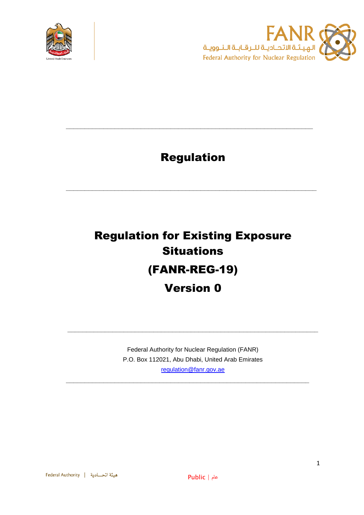



# Regulation

**\_\_\_\_\_\_\_\_\_\_\_\_\_\_\_\_\_\_\_\_\_\_\_\_\_\_\_\_\_\_\_\_\_\_\_\_\_\_\_\_\_\_\_\_\_\_\_\_\_\_\_\_\_\_\_\_\_\_\_\_\_\_\_\_\_\_\_**

**\_\_\_\_\_\_\_\_\_\_\_\_\_\_\_\_\_\_\_\_\_\_\_\_\_\_\_\_\_\_\_\_\_\_\_\_\_\_\_\_\_\_\_\_\_\_\_\_\_\_\_\_\_\_\_\_\_\_\_\_\_\_\_\_\_\_**

# Regulation for Existing Exposure **Situations** (FANR-REG-19) Version 0

Federal Authority for Nuclear Regulation (FANR) P.O. Box 112021, Abu Dhabi, United Arab Emirates [regulation@fanr.gov.ae](http://www.fanr.gov.ae/)

**\_\_\_\_\_\_\_\_\_\_\_\_\_\_\_\_\_\_\_\_\_\_\_\_\_\_\_\_\_\_\_\_\_\_\_\_\_\_\_\_\_\_\_\_\_\_\_\_\_\_\_\_\_\_\_\_\_\_\_\_\_\_\_\_\_**

**\_\_\_\_\_\_\_\_\_\_\_\_\_\_\_\_\_\_\_\_\_\_\_\_\_\_\_\_\_\_\_\_\_\_\_\_\_\_\_\_\_\_\_\_\_\_\_\_\_\_\_\_\_\_\_\_\_\_\_\_\_\_\_\_\_\_\_**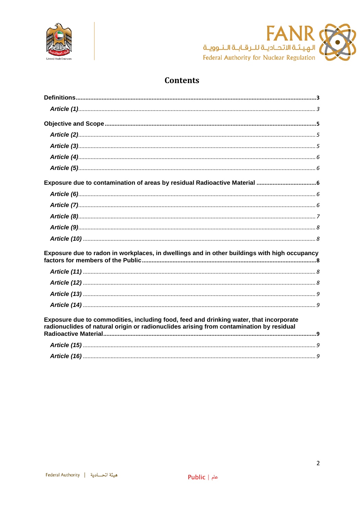



# **Contents**

| Exposure due to radon in workplaces, in dwellings and in other buildings with high occupancy                                                                                      |
|-----------------------------------------------------------------------------------------------------------------------------------------------------------------------------------|
|                                                                                                                                                                                   |
|                                                                                                                                                                                   |
|                                                                                                                                                                                   |
|                                                                                                                                                                                   |
| Exposure due to commodities, including food, feed and drinking water, that incorporate<br>radionuclides of natural origin or radionuclides arising from contamination by residual |
|                                                                                                                                                                                   |
|                                                                                                                                                                                   |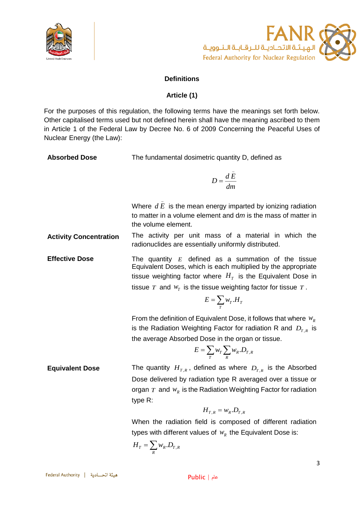



# **Definitions**

# **Article (1)**

<span id="page-2-1"></span><span id="page-2-0"></span>For the purposes of this regulation, the following terms have the meanings set forth below. Other capitalised terms used but not defined herein shall have the meaning ascribed to them in Article 1 of the Federal Law by Decree No. 6 of 2009 Concerning the Peaceful Uses of Nuclear Energy (the Law):

| <b>Absorbed Dose</b> | The fundamental dosimetric quantity D, defined as |
|----------------------|---------------------------------------------------|
|----------------------|---------------------------------------------------|

$$
D = \frac{d\bar{E}}{dm}
$$

Where  $dE$  is the mean energy imparted by ionizing radiation \_ to matter in a volume element and d*m* is the mass of matter in the volume element.

**Activity Concentration** The activity per unit mass of a material in which the radionuclides are essentially uniformly distributed.

**Effective Dose The quantity E** defined as a summation of the tissue Equivalent Doses, which is each multiplied by the appropriate tissue weighting factor where  $H_T$  is the Equivalent Dose in tissue  $T$  and  $W_T$  is the tissue weighting factor for tissue  $T$ .

$$
E=\sum_{T}w_{T}.H_{T}
$$

From the definition of Equivalent Dose, it follows that where  $w_R$ is the Radiation Weighting Factor for radiation R and  $D_{T,R}$  is the average Absorbed Dose in the organ or tissue.

$$
E = \sum_{T} w_T \sum_{R} w_R . D_{T,R}
$$

**Equivalent Dose** The quantity  $H_{T,R}$ , defined as where  $D_{T,R}$  is the Absorbed Dose delivered by radiation type R averaged over a tissue or organ  $T$  and  $W_R$  is the Radiation Weighting Factor for radiation type R:

$$
H_{T,R} = w_R.D_{T,R}
$$

When the radiation field is composed of different radiation types with different values of  $w_R$  the Equivalent Dose is:

$$
H_T = \sum_R w_R . D_{T,R}
$$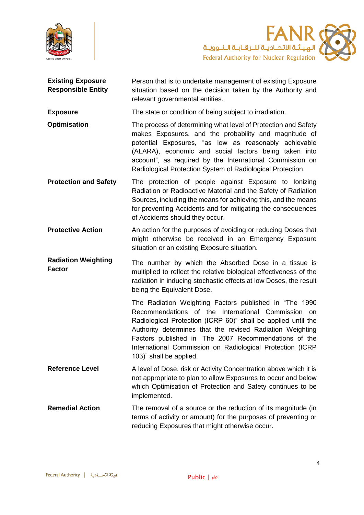

**FANR** ے کے کہا ہے ۔<br>الـهـيــئـة الاتحــادیــة لـلـرقـابــة الــنــوویــة<br>Federal Authority for Nuclear Regulation

| <b>Existing Exposure</b><br><b>Responsible Entity</b> | Person that is to undertake management of existing Exposure<br>situation based on the decision taken by the Authority and<br>relevant governmental entities.                                                                                                                                                                                                                                |
|-------------------------------------------------------|---------------------------------------------------------------------------------------------------------------------------------------------------------------------------------------------------------------------------------------------------------------------------------------------------------------------------------------------------------------------------------------------|
| <b>Exposure</b>                                       | The state or condition of being subject to irradiation.                                                                                                                                                                                                                                                                                                                                     |
| <b>Optimisation</b>                                   | The process of determining what level of Protection and Safety<br>makes Exposures, and the probability and magnitude of<br>potential Exposures, "as low as reasonably achievable<br>(ALARA), economic and social factors being taken into<br>account", as required by the International Commission on<br>Radiological Protection System of Radiological Protection.                         |
| <b>Protection and Safety</b>                          | The protection of people against Exposure to lonizing<br>Radiation or Radioactive Material and the Safety of Radiation<br>Sources, including the means for achieving this, and the means<br>for preventing Accidents and for mitigating the consequences<br>of Accidents should they occur.                                                                                                 |
| <b>Protective Action</b>                              | An action for the purposes of avoiding or reducing Doses that<br>might otherwise be received in an Emergency Exposure<br>situation or an existing Exposure situation.                                                                                                                                                                                                                       |
|                                                       |                                                                                                                                                                                                                                                                                                                                                                                             |
| <b>Radiation Weighting</b><br><b>Factor</b>           | The number by which the Absorbed Dose in a tissue is<br>multiplied to reflect the relative biological effectiveness of the<br>radiation in inducing stochastic effects at low Doses, the result<br>being the Equivalent Dose.                                                                                                                                                               |
|                                                       | The Radiation Weighting Factors published in "The 1990<br>Recommendations of the International Commission on<br>Radiological Protection (ICRP 60)" shall be applied until the<br>Authority determines that the revised Radiation Weighting<br>Factors published in "The 2007 Recommendations of the<br>International Commission on Radiological Protection (ICRP<br>103)" shall be applied. |
| <b>Reference Level</b>                                | A level of Dose, risk or Activity Concentration above which it is<br>not appropriate to plan to allow Exposures to occur and below<br>which Optimisation of Protection and Safety continues to be<br>implemented.                                                                                                                                                                           |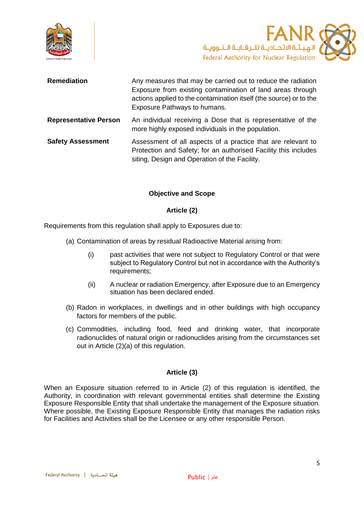



| <b>Remediation</b>           | Any measures that may be carried out to reduce the radiation<br>Exposure from existing contamination of land areas through<br>actions applied to the contamination itself (the source) or to the<br>Exposure Pathways to humans. |
|------------------------------|----------------------------------------------------------------------------------------------------------------------------------------------------------------------------------------------------------------------------------|
| <b>Representative Person</b> | An individual receiving a Dose that is representative of the<br>more highly exposed individuals in the population.                                                                                                               |
| <b>Safety Assessment</b>     | Assessment of all aspects of a practice that are relevant to<br>Protection and Safety; for an authorised Facility this includes<br>siting, Design and Operation of the Facility.                                                 |

#### **Objective and Scope**

#### **Article (2)**

<span id="page-4-1"></span><span id="page-4-0"></span>Requirements from this regulation shall apply to Exposures due to:

- (a) Contamination of areas by residual Radioactive Material arising from:
	- (i) past activities that were not subject to Regulatory Control or that were subject to Regulatory Control but not in accordance with the Authority's requirements;
	- (ii) A nuclear or radiation Emergency, after Exposure due to an Emergency situation has been declared ended.
- (b) Radon in workplaces, in dwellings and in other buildings with high occupancy factors for members of the public.
- (c) Commodities, including food, feed and drinking water, that incorporate radionuclides of natural origin or radionuclides arising from the circumstances set out in Article (2)(a) of this regulation.

#### **Article (3)**

<span id="page-4-2"></span>When an Exposure situation referred to in Article (2) of this regulation is identified, the Authority, in coordination with relevant governmental entities shall determine the Existing Exposure Responsible Entity that shall undertake the management of the Exposure situation. Where possible, the Existing Exposure Responsible Entity that manages the radiation risks for Facilities and Activities shall be the Licensee or any other responsible Person.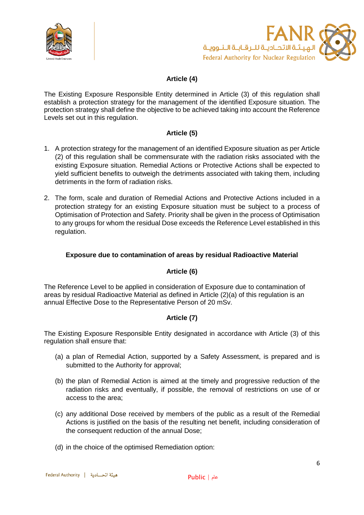



# **Article (4)**

<span id="page-5-0"></span>The Existing Exposure Responsible Entity determined in Article (3) of this regulation shall establish a protection strategy for the management of the identified Exposure situation. The protection strategy shall define the objective to be achieved taking into account the Reference Levels set out in this regulation.

# **Article (5)**

- <span id="page-5-1"></span>1. A protection strategy for the management of an identified Exposure situation as per Article (2) of this regulation shall be commensurate with the radiation risks associated with the existing Exposure situation. Remedial Actions or Protective Actions shall be expected to yield sufficient benefits to outweigh the detriments associated with taking them, including detriments in the form of radiation risks.
- 2. The form, scale and duration of Remedial Actions and Protective Actions included in a protection strategy for an existing Exposure situation must be subject to a process of Optimisation of Protection and Safety. Priority shall be given in the process of Optimisation to any groups for whom the residual Dose exceeds the Reference Level established in this regulation.

# <span id="page-5-2"></span>**Exposure due to contamination of areas by residual Radioactive Material**

#### **Article (6)**

<span id="page-5-3"></span>The Reference Level to be applied in consideration of Exposure due to contamination of areas by residual Radioactive Material as defined in Article (2)(a) of this regulation is an annual Effective Dose to the Representative Person of 20 mSv.

# **Article (7)**

<span id="page-5-4"></span>The Existing Exposure Responsible Entity designated in accordance with Article (3) of this regulation shall ensure that:

- (a) a plan of Remedial Action, supported by a Safety Assessment, is prepared and is submitted to the Authority for approval;
- (b) the plan of Remedial Action is aimed at the timely and progressive reduction of the radiation risks and eventually, if possible, the removal of restrictions on use of or access to the area;
- (c) any additional Dose received by members of the public as a result of the Remedial Actions is justified on the basis of the resulting net benefit, including consideration of the consequent reduction of the annual Dose;
- (d) in the choice of the optimised Remediation option: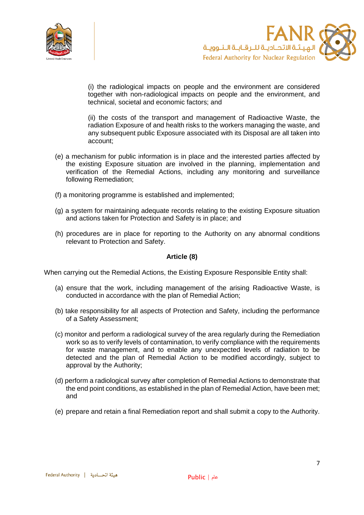



(i) the radiological impacts on people and the environment are considered together with non-radiological impacts on people and the environment, and technical, societal and economic factors; and

(ii) the costs of the transport and management of Radioactive Waste, the radiation Exposure of and health risks to the workers managing the waste, and any subsequent public Exposure associated with its Disposal are all taken into account;

- (e) a mechanism for public information is in place and the interested parties affected by the existing Exposure situation are involved in the planning, implementation and verification of the Remedial Actions, including any monitoring and surveillance following Remediation;
- (f) a monitoring programme is established and implemented;
- (g) a system for maintaining adequate records relating to the existing Exposure situation and actions taken for Protection and Safety is in place; and
- (h) procedures are in place for reporting to the Authority on any abnormal conditions relevant to Protection and Safety.

#### **Article (8)**

<span id="page-6-0"></span>When carrying out the Remedial Actions, the Existing Exposure Responsible Entity shall:

- (a) ensure that the work, including management of the arising Radioactive Waste, is conducted in accordance with the plan of Remedial Action;
- (b) take responsibility for all aspects of Protection and Safety, including the performance of a Safety Assessment;
- (c) monitor and perform a radiological survey of the area regularly during the Remediation work so as to verify levels of contamination, to verify compliance with the requirements for waste management, and to enable any unexpected levels of radiation to be detected and the plan of Remedial Action to be modified accordingly, subject to approval by the Authority;
- (d) perform a radiological survey after completion of Remedial Actions to demonstrate that the end point conditions, as established in the plan of Remedial Action, have been met; and
- (e) prepare and retain a final Remediation report and shall submit a copy to the Authority.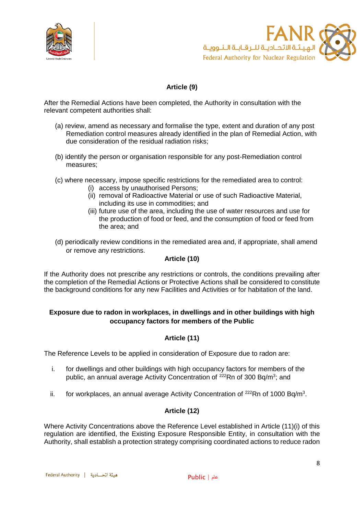



# **Article (9)**

<span id="page-7-0"></span>After the Remedial Actions have been completed, the Authority in consultation with the relevant competent authorities shall:

- (a) review, amend as necessary and formalise the type, extent and duration of any post Remediation control measures already identified in the plan of Remedial Action, with due consideration of the residual radiation risks;
- (b) identify the person or organisation responsible for any post-Remediation control measures;
- (c) where necessary, impose specific restrictions for the remediated area to control:
	- (i) access by unauthorised Persons;
	- (ii) removal of Radioactive Material or use of such Radioactive Material, including its use in commodities; and
	- (iii) future use of the area, including the use of water resources and use for the production of food or feed, and the consumption of food or feed from the area; and
- (d) periodically review conditions in the remediated area and, if appropriate, shall amend or remove any restrictions.

#### **Article (10)**

<span id="page-7-1"></span>If the Authority does not prescribe any restrictions or controls, the conditions prevailing after the completion of the Remedial Actions or Protective Actions shall be considered to constitute the background conditions for any new Facilities and Activities or for habitation of the land.

### <span id="page-7-2"></span>**Exposure due to radon in workplaces, in dwellings and in other buildings with high occupancy factors for members of the Public**

# **Article (11)**

<span id="page-7-3"></span>The Reference Levels to be applied in consideration of Exposure due to radon are:

- i. for dwellings and other buildings with high occupancy factors for members of the public, an annual average Activity Concentration of <sup>222</sup>Rn of 300 Bq/m<sup>3</sup>; and
- ii. for workplaces, an annual average Activity Concentration of  $^{222}$ Rn of 1000 Bq/m<sup>3</sup>.

#### **Article (12)**

<span id="page-7-4"></span>Where Activity Concentrations above the Reference Level established in Article (11)(i) of this regulation are identified, the Existing Exposure Responsible Entity, in consultation with the Authority, shall establish a protection strategy comprising coordinated actions to reduce radon